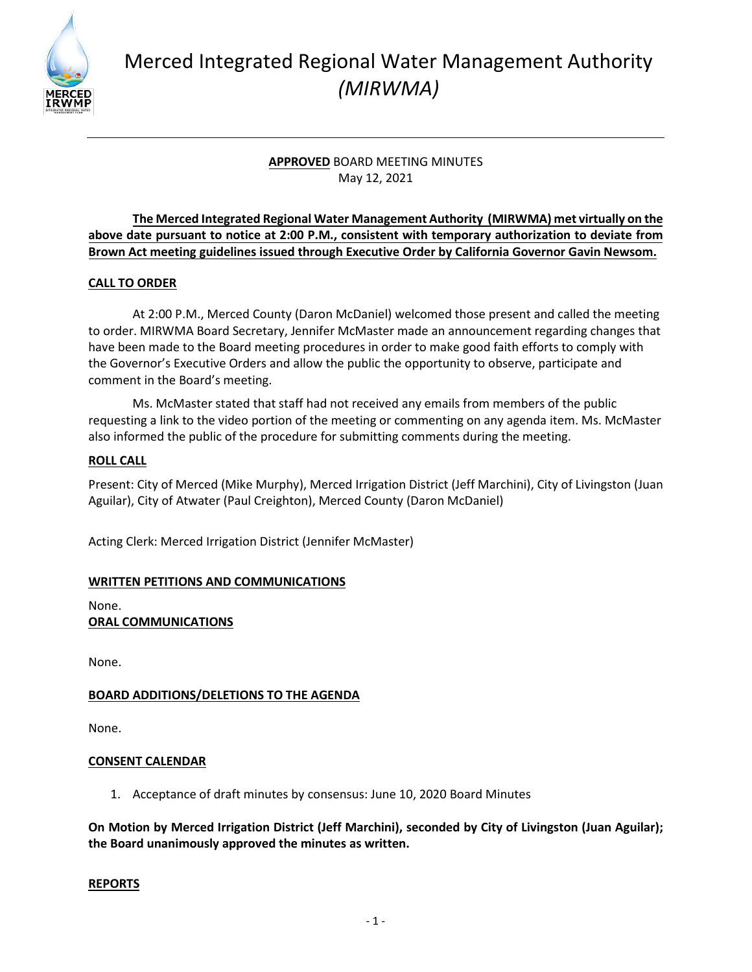

# Merced Integrated Regional Water Management Authority *(MIRWMA)*

# **APPROVED** BOARD MEETING MINUTES May 12, 2021

## **The Merced Integrated Regional Water Management Authority (MIRWMA) met virtually on the above date pursuant to notice at 2:00 P.M., consistent with temporary authorization to deviate from Brown Act meeting guidelines issued through Executive Order by California Governor Gavin Newsom.**

## **CALL TO ORDER**

At 2:00 P.M., Merced County (Daron McDaniel) welcomed those present and called the meeting to order. MIRWMA Board Secretary, Jennifer McMaster made an announcement regarding changes that have been made to the Board meeting procedures in order to make good faith efforts to comply with the Governor's Executive Orders and allow the public the opportunity to observe, participate and comment in the Board's meeting.

Ms. McMaster stated that staff had not received any emails from members of the public requesting a link to the video portion of the meeting or commenting on any agenda item. Ms. McMaster also informed the public of the procedure for submitting comments during the meeting.

## **ROLL CALL**

Present: City of Merced (Mike Murphy), Merced Irrigation District (Jeff Marchini), City of Livingston (Juan Aguilar), City of Atwater (Paul Creighton), Merced County (Daron McDaniel)

Acting Clerk: Merced Irrigation District (Jennifer McMaster)

## **WRITTEN PETITIONS AND COMMUNICATIONS**

None. **ORAL COMMUNICATIONS**

None.

## **BOARD ADDITIONS/DELETIONS TO THE AGENDA**

None.

#### **CONSENT CALENDAR**

1. Acceptance of draft minutes by consensus: June 10, 2020 Board Minutes

**On Motion by Merced Irrigation District (Jeff Marchini), seconded by City of Livingston (Juan Aguilar); the Board unanimously approved the minutes as written.** 

#### **REPORTS**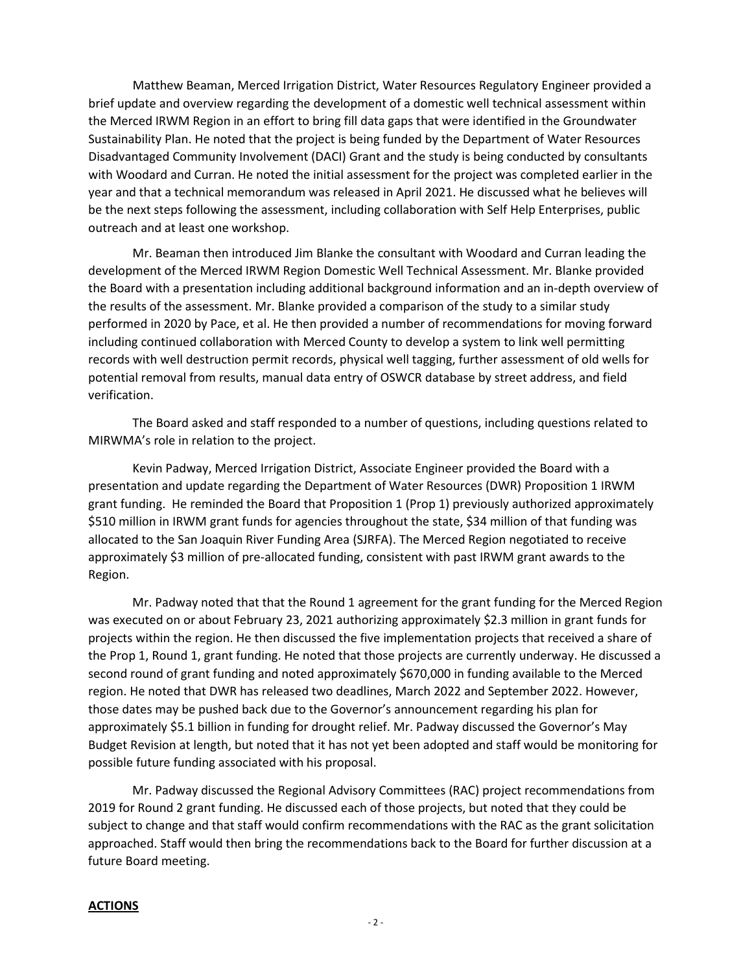Matthew Beaman, Merced Irrigation District, Water Resources Regulatory Engineer provided a brief update and overview regarding the development of a domestic well technical assessment within the Merced IRWM Region in an effort to bring fill data gaps that were identified in the Groundwater Sustainability Plan. He noted that the project is being funded by the Department of Water Resources Disadvantaged Community Involvement (DACI) Grant and the study is being conducted by consultants with Woodard and Curran. He noted the initial assessment for the project was completed earlier in the year and that a technical memorandum was released in April 2021. He discussed what he believes will be the next steps following the assessment, including collaboration with Self Help Enterprises, public outreach and at least one workshop.

Mr. Beaman then introduced Jim Blanke the consultant with Woodard and Curran leading the development of the Merced IRWM Region Domestic Well Technical Assessment. Mr. Blanke provided the Board with a presentation including additional background information and an in-depth overview of the results of the assessment. Mr. Blanke provided a comparison of the study to a similar study performed in 2020 by Pace, et al. He then provided a number of recommendations for moving forward including continued collaboration with Merced County to develop a system to link well permitting records with well destruction permit records, physical well tagging, further assessment of old wells for potential removal from results, manual data entry of OSWCR database by street address, and field verification.

The Board asked and staff responded to a number of questions, including questions related to MIRWMA's role in relation to the project.

Kevin Padway, Merced Irrigation District, Associate Engineer provided the Board with a presentation and update regarding the Department of Water Resources (DWR) Proposition 1 IRWM grant funding. He reminded the Board that Proposition 1 (Prop 1) previously authorized approximately \$510 million in IRWM grant funds for agencies throughout the state, \$34 million of that funding was allocated to the San Joaquin River Funding Area (SJRFA). The Merced Region negotiated to receive approximately \$3 million of pre-allocated funding, consistent with past IRWM grant awards to the Region.

Mr. Padway noted that that the Round 1 agreement for the grant funding for the Merced Region was executed on or about February 23, 2021 authorizing approximately \$2.3 million in grant funds for projects within the region. He then discussed the five implementation projects that received a share of the Prop 1, Round 1, grant funding. He noted that those projects are currently underway. He discussed a second round of grant funding and noted approximately \$670,000 in funding available to the Merced region. He noted that DWR has released two deadlines, March 2022 and September 2022. However, those dates may be pushed back due to the Governor's announcement regarding his plan for approximately \$5.1 billion in funding for drought relief. Mr. Padway discussed the Governor's May Budget Revision at length, but noted that it has not yet been adopted and staff would be monitoring for possible future funding associated with his proposal.

Mr. Padway discussed the Regional Advisory Committees (RAC) project recommendations from 2019 for Round 2 grant funding. He discussed each of those projects, but noted that they could be subject to change and that staff would confirm recommendations with the RAC as the grant solicitation approached. Staff would then bring the recommendations back to the Board for further discussion at a future Board meeting.

#### **ACTIONS**